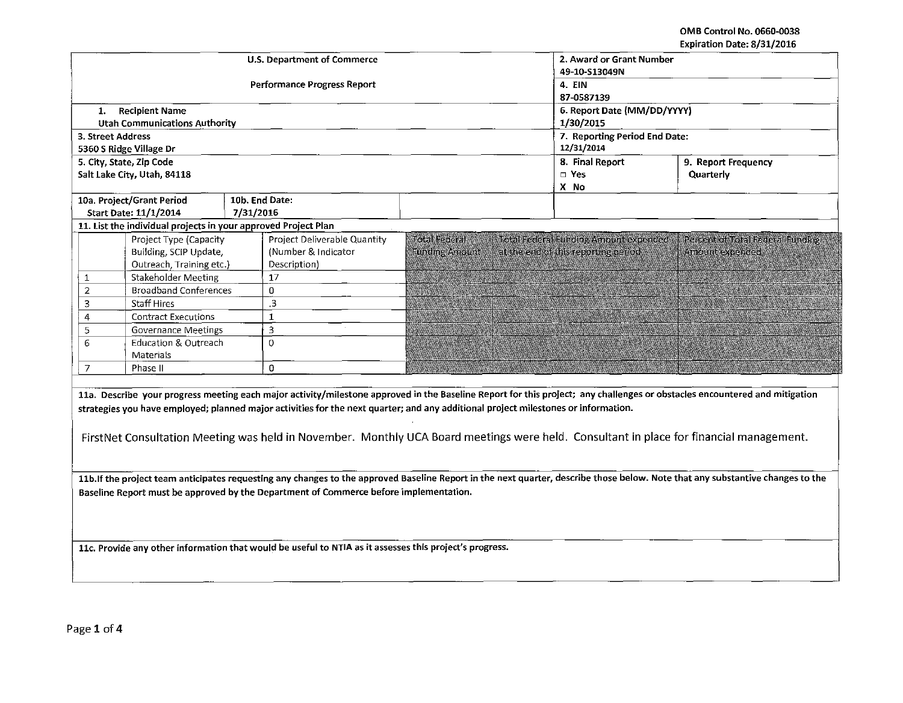OMB Control No. 0660-0038 Expiration Date: 8/31/2016

|                                                                                                                                                                                                                                                                                                                                                                                                                                                             |                              |                             |                                       | Expiration Date: 8/31/2016       |  |  |
|-------------------------------------------------------------------------------------------------------------------------------------------------------------------------------------------------------------------------------------------------------------------------------------------------------------------------------------------------------------------------------------------------------------------------------------------------------------|------------------------------|-----------------------------|---------------------------------------|----------------------------------|--|--|
|                                                                                                                                                                                                                                                                                                                                                                                                                                                             | U.S. Department of Commerce  | 2. Award or Grant Number    |                                       |                                  |  |  |
|                                                                                                                                                                                                                                                                                                                                                                                                                                                             |                              | 49-10-S13049N               |                                       |                                  |  |  |
|                                                                                                                                                                                                                                                                                                                                                                                                                                                             | Performance Progress Report  | <b>4. EIN</b>               |                                       |                                  |  |  |
|                                                                                                                                                                                                                                                                                                                                                                                                                                                             |                              | 87-0587139                  |                                       |                                  |  |  |
| <b>Recipient Name</b><br>1.                                                                                                                                                                                                                                                                                                                                                                                                                                 |                              | 6. Report Date (MM/DD/YYYY) |                                       |                                  |  |  |
| <b>Utah Communications Authority</b>                                                                                                                                                                                                                                                                                                                                                                                                                        |                              |                             | 1/30/2015                             |                                  |  |  |
| 3. Street Address                                                                                                                                                                                                                                                                                                                                                                                                                                           |                              |                             | 7. Reporting Period End Date:         |                                  |  |  |
| 5360 S Ridge Village Dr                                                                                                                                                                                                                                                                                                                                                                                                                                     |                              |                             | 12/31/2014                            |                                  |  |  |
| 5. City, State, Zip Code                                                                                                                                                                                                                                                                                                                                                                                                                                    |                              |                             | 8. Final Report                       | 9. Report Frequency              |  |  |
| Salt Lake City, Utah, 84118                                                                                                                                                                                                                                                                                                                                                                                                                                 |                              |                             | $\square$ Yes                         | Quarterly                        |  |  |
|                                                                                                                                                                                                                                                                                                                                                                                                                                                             |                              |                             | X No                                  |                                  |  |  |
| 10a. Project/Grant Period                                                                                                                                                                                                                                                                                                                                                                                                                                   | 10b. End Date:               |                             |                                       |                                  |  |  |
| Start Date: 11/1/2014                                                                                                                                                                                                                                                                                                                                                                                                                                       | 7/31/2016                    |                             |                                       |                                  |  |  |
| 11. List the individual projects in your approved Project Plan                                                                                                                                                                                                                                                                                                                                                                                              |                              |                             |                                       |                                  |  |  |
| Project Type (Capacity                                                                                                                                                                                                                                                                                                                                                                                                                                      | Project Deliverable Quantity | Total Federal               | Total Federal Funding Amount expended | Percent of Total Federal Funding |  |  |
| Building, SCIP Update,                                                                                                                                                                                                                                                                                                                                                                                                                                      | (Number & Indicator)         | <b>Funding Amount</b>       | at the end of this reporting period   | Amount expended                  |  |  |
| Outreach, Training etc.)                                                                                                                                                                                                                                                                                                                                                                                                                                    | Description)                 |                             |                                       |                                  |  |  |
| Stakeholder Meeting<br>$\mathbf{1}$                                                                                                                                                                                                                                                                                                                                                                                                                         | 17                           |                             |                                       |                                  |  |  |
| $\overline{2}$<br><b>Broadband Conferences</b>                                                                                                                                                                                                                                                                                                                                                                                                              | $\Omega$                     |                             |                                       |                                  |  |  |
| $\overline{\mathbf{3}}$<br><b>Staff Hires</b>                                                                                                                                                                                                                                                                                                                                                                                                               | $\cdot$ <sub>3</sub>         |                             |                                       |                                  |  |  |
| 4<br><b>Contract Executions</b>                                                                                                                                                                                                                                                                                                                                                                                                                             | $\mathbf{1}$                 |                             |                                       |                                  |  |  |
| 5<br><b>Governance Meetings</b>                                                                                                                                                                                                                                                                                                                                                                                                                             | 3                            |                             |                                       |                                  |  |  |
| 6<br>Education & Outreach                                                                                                                                                                                                                                                                                                                                                                                                                                   | $\mathbf 0$                  |                             |                                       |                                  |  |  |
| Materials                                                                                                                                                                                                                                                                                                                                                                                                                                                   |                              |                             |                                       |                                  |  |  |
| $\overline{7}$<br>Phase II                                                                                                                                                                                                                                                                                                                                                                                                                                  | 0                            |                             |                                       |                                  |  |  |
| 11a. Describe your progress meeting each major activity/milestone approved in the Baseline Report for this project; any challenges or obstacles encountered and mitigation<br>strategies you have employed; planned major activities for the next quarter; and any additional project milestones or information.<br>FirstNet Consultation Meeting was held in November. Monthly UCA Board meetings were held. Consultant in place for financial management. |                              |                             |                                       |                                  |  |  |
| 11b. If the project team anticipates requesting any changes to the approved Baseline Report in the next quarter, describe those below. Note that any substantive changes to the<br>Baseline Report must be approved by the Department of Commerce before implementation.                                                                                                                                                                                    |                              |                             |                                       |                                  |  |  |
| 11c. Provide any other information that would be useful to NTIA as it assesses this project's progress.                                                                                                                                                                                                                                                                                                                                                     |                              |                             |                                       |                                  |  |  |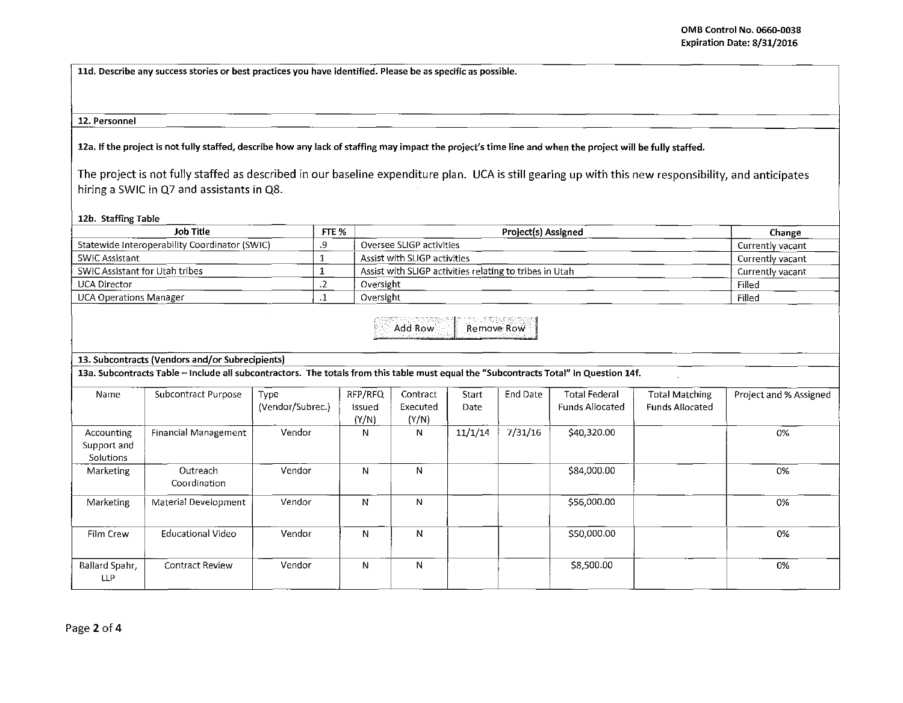**lld. Describe any success stories or best practices you have identified. Please be as specific as possible.** 

#### **12. Personnel**

12a. If the project is not fully staffed, describe how any lack of staffing may impact the project's time line and when the project will be fully staffed.

The project is not fully staffed as described in our baseline expenditure plan. UCA is still gearing up with this new responsibility, and anticipates hiring a SWIC in Q7 and assistants in Q8.

**12b. Staffing Table** 

| Job Title                                     | FTE % | <b>Project(s) Assigned</b>                              | Change           |
|-----------------------------------------------|-------|---------------------------------------------------------|------------------|
| Statewide Interoperability Coordinator (SWIC) |       | Oversee SLIGP activities                                | Currently vacant |
| SWIC Assistant                                |       | Assist with SLIGP activities                            | Currently vacant |
| SWIC Assistant for Utah tribes                |       | Assist with SLIGP activities relating to tribes in Utah | Currently vacant |
| UCA Director                                  |       | Oversight                                               | Filled           |
| <b>UCA Operations Manager</b>                 |       | Oversight                                               | Filled           |

Add Row Remove Row

## **13. Subcontracts (Vendors and/or Subrecipients)**

13a. Subcontracts Table - Include all subcontractors. The totals from this table must equal the "Subcontracts Total" in Question 14f.

| Name                                   | Subcontract Purpose      | Type<br>(Vendor/Subrec.) | RFP/RFQ<br>Issued<br>(Y/N) | Contract<br>Executed<br>(Y/N) | Start<br>Date | End Date | <b>Total Federal</b><br><b>Funds Allocated</b> | <b>Total Matching</b><br><b>Funds Allocated</b> | Project and % Assigned |
|----------------------------------------|--------------------------|--------------------------|----------------------------|-------------------------------|---------------|----------|------------------------------------------------|-------------------------------------------------|------------------------|
| Accounting<br>Support and<br>Solutions | Financial Management     | Vendor                   | N                          | N                             | 11/1/14       | 7/31/16  | \$40,320.00                                    |                                                 | 0%                     |
| Marketing                              | Outreach<br>Coordination | Vendor                   | N                          | N                             |               |          | \$84,000.00                                    |                                                 | 0%                     |
| Marketing                              | Material Development     | Vendor                   | N                          | N                             |               |          | \$56,000.00                                    |                                                 | 0%                     |
| Film Crew                              | Educational Video        | Vendor                   | N                          | N                             |               |          | \$50,000.00                                    |                                                 | 0%                     |
| Ballard Spahr,<br>LLP                  | <b>Contract Review</b>   | Vendor                   | N                          | N                             |               |          | \$8,500.00                                     |                                                 | 0%                     |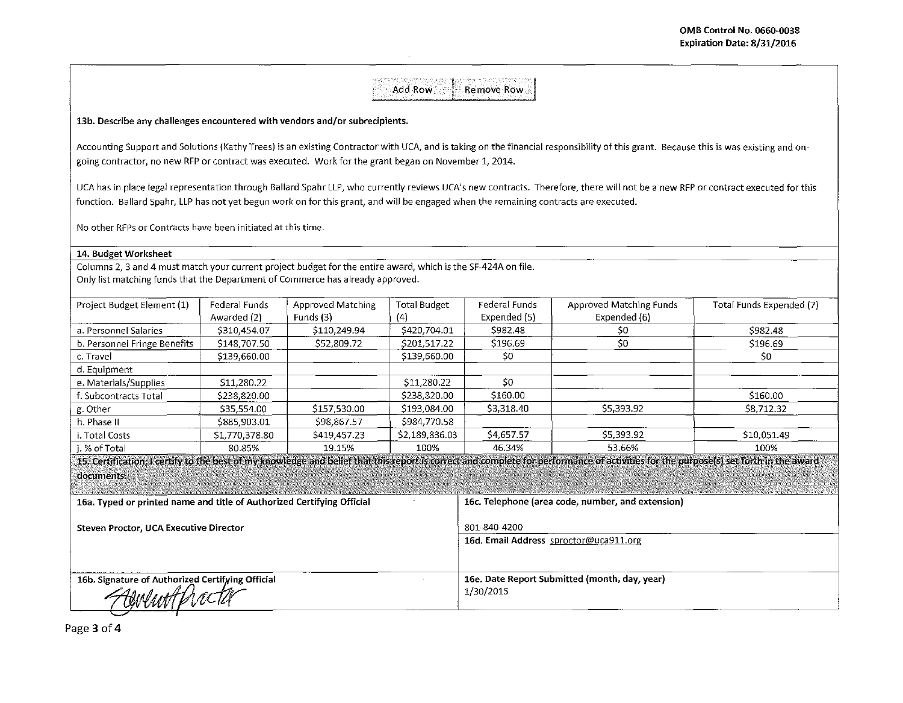# Add Row **F** Remove Row

### 13b. Describe any challenges encountered with vendors and/or subrecipients.

Accounting Support and Solutions (Kathy Trees) is an existing Contractor with UCA, and is taking on the financial responsibility of this grant. Because this is was existing and ongoing contractor, no new RFP or contract was executed. Work for the grant began on November 1, 2014.

UCA has in place legal representation through Ballard Spahr LLP, who currently reviews UCA's new contracts. Therefore, there will not be a new RFP or contract executed for this function. Ballard Spahr, LLP has not yet begun work on for this grant, and will be engaged when the remaining contracts are executed.

No other RFPs or Contracts have been initiated at this time.

### 14. Budget Worksheet

Columns 2, 3 and 4 must match your current project budget for the entire award, which is the SF-424A on file. Only list matching funds that the Department of Commerce has already approved.

| Federal Funds  | <b>Approved Matching</b> | <b>Total Budget</b> | Federal Funds | Approved Matching Funds | Total Funds Expended (7)                                                                                                                                                             |
|----------------|--------------------------|---------------------|---------------|-------------------------|--------------------------------------------------------------------------------------------------------------------------------------------------------------------------------------|
| Awarded (2)    | Funds (3)                | (4)                 | Expended (5)  | Expended (6)            |                                                                                                                                                                                      |
| \$310,454.07   | \$110,249.94             | \$420,704.01        | \$982.48      | S0.                     | \$982.48                                                                                                                                                                             |
| \$148,707.50   | \$52,809.72              | \$201,517.22        | \$196.69      | \$0                     | \$196.69                                                                                                                                                                             |
| \$139,660.00   |                          | \$139,660.00        | \$0           |                         | \$0                                                                                                                                                                                  |
|                |                          |                     |               |                         |                                                                                                                                                                                      |
| \$11,280.22    |                          | \$11,280.22         | \$0           |                         |                                                                                                                                                                                      |
| \$238,820.00   |                          | \$238,820.00        | \$160.00      |                         | \$160.00                                                                                                                                                                             |
| \$35,554.00    | \$157,530.00             | \$193,084.00        | \$3,318.40    | \$5.393.92              | S8.712.32                                                                                                                                                                            |
| \$885,903.01   | \$98 867.57              | \$984,770.58        |               |                         |                                                                                                                                                                                      |
| \$1,770,378.80 | \$419,457.23             | \$2,189,836.03      | \$4,657,57    | \$5,393.92              | \$10,051.49                                                                                                                                                                          |
| 80.85%         | 19.15%                   | 100%                | 46.34%        | 53.66%                  | 100%                                                                                                                                                                                 |
|                |                          |                     |               |                         |                                                                                                                                                                                      |
|                |                          |                     |               |                         |                                                                                                                                                                                      |
|                |                          |                     |               |                         |                                                                                                                                                                                      |
|                |                          |                     |               |                         | 15. Certification: I certify to the best of my knowledge and belief that this report is correct and complete for performance of activities for the purpose(s) set forth in the award |

| 16a. Typed or printed name and title of Authorized Certifying Official | 16c. Telephone (area code, number, and extension) |  |
|------------------------------------------------------------------------|---------------------------------------------------|--|
| Steven Proctor, UCA Executive Director                                 | 801-840-4200                                      |  |
|                                                                        | 16d. Email Address sproctor@uca911.org            |  |
| 16b. Signature of Authorized Certifying Official                       | 16e. Date Report Submitted (month, day, year)     |  |
| Aswentfrecta                                                           | 1/30/2015                                         |  |
|                                                                        |                                                   |  |

Page 3 of 4